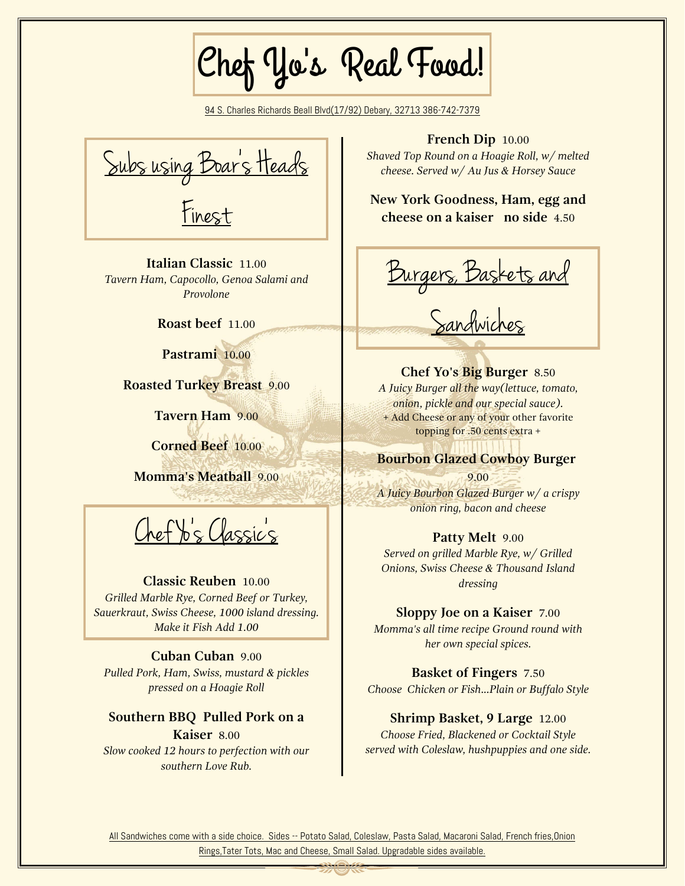Chef Yo's Real Food!

94 S. Charles Richards Beall Blvd(17/92) Debary, 32713 386-742-7379



**Italian Classic** 11.00 *Tavern Ham, Capocollo, Genoa Salami and Provolone*

**Roast beef** 11.00

**Pastrami** 10.00

**Roasted Turkey Breast** 9.00

**Tavern Ham** 9.00

**Corned Beef** 10.00

**Momma's Meatball** 9.00

Chef Yo's Classic's

#### **Classic Reuben** 10.00

*Grilled Marble Rye, Corned Beef or Turkey, Sauerkraut, Swiss Cheese, 1000 island dressing. Make it Fish Add 1.00*

**Cuban Cuban** 9.00 *Pulled Pork, Ham, Swiss, mustard & pickles pressed on a Hoagie Roll*

## **Southern BBQ Pulled Pork on a Kaiser** 8.00

*Slow cooked 12 hours to perfection with our southern Love Rub.*

#### **French Dip** 10.00

*Shaved Top Round on a Hoagie Roll, w/ melted cheese. Served w/ Au Jus & Horsey Sauce*

**New York Goodness, Ham, egg and cheese on a kaiser no side** 4.50

Burgers, Baskets and

Sandwiches

**Chef Yo's Big Burger** 8.50 *A Juicy Burger all the way(lettuce, tomato, onion, pickle and our special sauce).* + Add Cheese or any of your other favorite topping for .50 cents extra +

## **Bourbon Glazed Cowboy Burger**

9.00

*A Juicy Bourbon Glazed Burger w/ a crispy onion ring, bacon and cheese*

#### **Patty Melt** 9.00

*Served on grilled Marble Rye, w/ Grilled Onions, Swiss Cheese & Thousand Island dressing*

**Sloppy Joe on a Kaiser** 7.00

*Momma's all time recipe Ground round with her own special spices.*

**Basket of Fingers** 7.50 *Choose Chicken or Fish...Plain or Buffalo Style*

## **Shrimp Basket, 9 Large** 12.00

*Choose Fried, Blackened or Cocktail Style served with Coleslaw, hushpuppies and one side.*

All Sandwiches come with a side choice. Sides -- Potato Salad, Coleslaw, Pasta Salad, Macaroni Salad, French fries, Onion Rings,Tater Tots, Mac and Cheese, Small Salad. Upgradable sides available.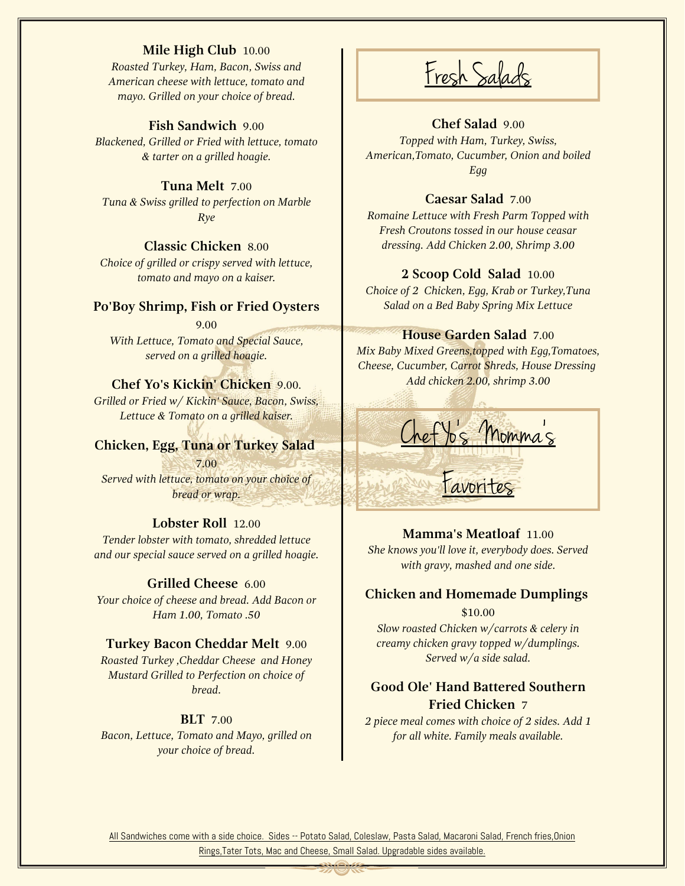#### **Mile High Club** 10.00

*Roasted Turkey, Ham, Bacon, Swiss and American cheese with lettuce, tomato and mayo. Grilled on your choice of bread.*

## **Fish Sandwich** 9.00

*Blackened, Grilled or Fried with lettuce, tomato & tarter on a grilled hoagie.*

**Tuna Melt** 7.00 *Tuna & Swiss grilled to perfection on Marble Rye*

### **Classic Chicken** 8.00

*Choice of grilled or crispy served with lettuce, tomato and mayo on a kaiser.*

#### **Po'Boy Shrimp, Fish or Fried Oysters**

9.00 *With Lettuce, Tomato and Special Sauce, served on a grilled hoagie.*

### **Chef Yo's Kickin' Chicken** 9.00.

*Grilled or Fried w/ Kickin' Sauce, Bacon, Swiss, Lettuce & Tomato on a grilled kaiser.*

### **Chicken, Egg, Tuna or Turkey Salad**

7.00 *Served with lettuce, tomato on your choice of bread or wrap.*

#### **Lobster Roll** 12.00

*Tender lobster with tomato, shredded lettuce and our special sauce served on a grilled hoagie.*

#### **Grilled Cheese** 6.00

*Your choice of cheese and bread. Add Bacon or Ham 1.00, Tomato .50*

#### **Turkey Bacon Cheddar Melt** 9.00

*Roasted Turkey ,Cheddar Cheese and Honey Mustard Grilled to Perfection on choice of bread.*

#### **BLT** 7.00

*Bacon, Lettuce, Tomato and Mayo, grilled on your choice of bread.*

Fresh Salads

#### **Chef Salad** 9.00

*Topped with Ham, Turkey, Swiss, American,Tomato, Cucumber, Onion and boiled Egg*

#### **Caesar Salad** 7.00

*Romaine Lettuce with Fresh Parm Topped with Fresh Croutons tossed in our house ceasar dressing. Add Chicken 2.00, Shrimp 3.00*

#### **2 Scoop Cold Salad** 10.00

*Choice of 2 Chicken, Egg, Krab or Turkey,Tuna Salad on a Bed Baby Spring Mix Lettuce*

#### **House Garden Salad** 7.00

 *Mix Baby Mixed Greens,topped with Egg,Tomatoes, Cheese, Cucumber, Carrot Shreds, House Dressing Add chicken 2.00, shrimp 3.00*



**Mamma's Meatloaf** 11.00 *She knows you'll love it, everybody does. Served with gravy, mashed and one side.*

## **Chicken and Homemade Dumplings**

\$10.00

*Slow roasted Chicken w/carrots & celery in creamy chicken gravy topped w/dumplings. Served w/a side salad.*

## **Good Ole' Hand Battered Southern Fried Chicken** 7

*2 piece meal comes with choice of 2 sides. Add 1 for all white. Family meals available.*

All Sandwiches come with a side choice. Sides -- Potato Salad, Coleslaw, Pasta Salad, Macaroni Salad, French fries, Onion Rings,Tater Tots, Mac and Cheese, Small Salad. Upgradable sides available.